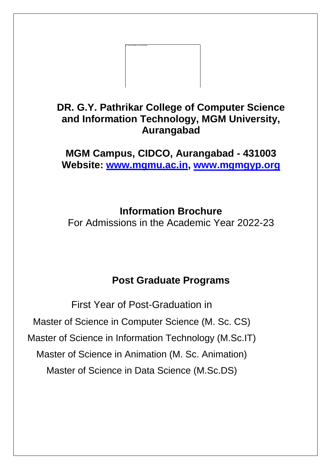

# **DR. G.Y. Pathrikar College of Computer Science and Information Technology, MGM University, Aurangabad**

**MGM Campus, CIDCO, Aurangabad - 431003 Website: [www.mgmu.ac.in,](http://www.mgmu.ac.in/) [www.mgmgyp.org](http://www.mgmgyp.org/)**

**Information Brochure**

For Admissions in the Academic Year 2022-23

# **Post Graduate Programs**

First Year of Post-Graduation in Master of Science in Computer Science (M. Sc. CS) Master of Science in Information Technology (M.Sc.IT) Master of Science in Animation (M. Sc. Animation) Master of Science in Data Science (M.Sc.DS)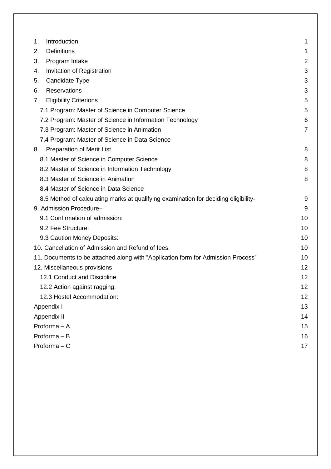| Introduction<br>1.                                                                  | 1              |
|-------------------------------------------------------------------------------------|----------------|
| <b>Definitions</b><br>2.                                                            | 1              |
| 3.<br>Program Intake                                                                | $\overline{2}$ |
| Invitation of Registration<br>4.                                                    | 3              |
| Candidate Type<br>5.                                                                | 3              |
| <b>Reservations</b><br>6.                                                           | 3              |
| <b>Eligibility Criterions</b><br>7.                                                 | 5              |
| 7.1 Program: Master of Science in Computer Science                                  | 5              |
| 7.2 Program: Master of Science in Information Technology                            | 6              |
| 7.3 Program: Master of Science in Animation                                         | $\overline{7}$ |
| 7.4 Program: Master of Science in Data Science                                      |                |
| <b>Preparation of Merit List</b><br>8.                                              | 8              |
| 8.1 Master of Science in Computer Science                                           | 8              |
| 8.2 Master of Science in Information Technology                                     | 8              |
| 8.3 Master of Science in Animation                                                  | 8              |
| 8.4 Master of Science in Data Science                                               |                |
| 8.5 Method of calculating marks at qualifying examination for deciding eligibility- | 9              |
| 9. Admission Procedure-                                                             | 9              |
| 9.1 Confirmation of admission:                                                      | 10             |
| 9.2 Fee Structure:                                                                  | 10             |
| 9.3 Caution Money Deposits:                                                         | 10             |
| 10. Cancellation of Admission and Refund of fees.                                   | 10             |
| 11. Documents to be attached along with "Application form for Admission Process"    | 10             |
| 12. Miscellaneous provisions                                                        | 12             |
| 12.1 Conduct and Discipline                                                         | 12             |
| 12.2 Action against ragging:                                                        | 12             |
| 12.3 Hostel Accommodation:                                                          | 12             |
| Appendix I                                                                          | 13             |
| Appendix II                                                                         | 14             |
| Proforma - A                                                                        | 15             |
| Proforma - B                                                                        | 16             |
| Proforma $-C$                                                                       | 17             |
|                                                                                     |                |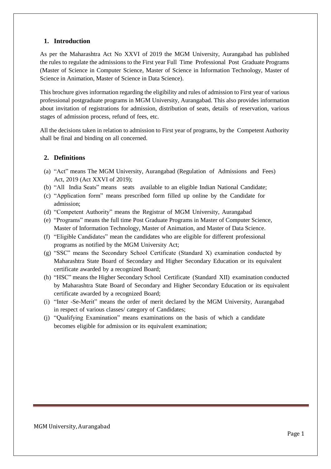# <span id="page-2-0"></span>**1. Introduction**

As per the Maharashtra Act No XXVI of 2019 the MGM University, Aurangabad has published the rules to regulate the admissions to the First year Full Time Professional Post Graduate Programs (Master of Science in Computer Science, Master of Science in Information Technology, Master of Science in Animation, Master of Science in Data Science).

This brochure gives information regarding the eligibility and rules of admission to First year of various professional postgraduate programs in MGM University, Aurangabad. This also provides information about invitation of registrations for admission, distribution of seats, details of reservation, various stages of admission process, refund of fees, etc.

All the decisions taken in relation to admission to First year of programs, by the Competent Authority shall be final and binding on all concerned.

# <span id="page-2-1"></span>**2. Definitions**

- (a) "Act" means The MGM University, Aurangabad (Regulation of Admissions and Fees) Act, 2019 (Act XXVI of 2019);
- (b) "All India Seats" means seats available to an eligible Indian National Candidate;
- (c) "Application form" means prescribed form filled up online by the Candidate for admission;
- (d) "Competent Authority" means the Registrar of MGM University, Aurangabad
- (e) "Programs" means the full time Post Graduate Programs in Master of Computer Science, Master of Information Technology, Master of Animation, and Master of Data Science.
- (f) "Eligible Candidates" mean the candidates who are eligible for different professional programs as notified by the MGM University Act;
- (g) "SSC" means the Secondary School Certificate (Standard X) examination conducted by Maharashtra State Board of Secondary and Higher Secondary Education or its equivalent certificate awarded by a recognized Board;
- (h) "HSC" means the Higher Secondary School Certificate (Standard XII) examination conducted by Maharashtra State Board of Secondary and Higher Secondary Education or its equivalent certificate awarded by a recognized Board;
- (i) "Inter -Se-Merit" means the order of merit declared by the MGM University, Aurangabad in respect of various classes/ category of Candidates;
- (j) "Qualifying Examination" means examinations on the basis of which a candidate becomes eligible for admission or its equivalent examination;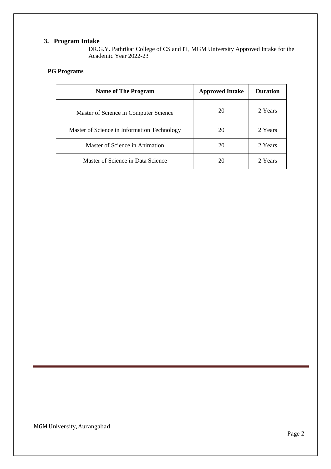# <span id="page-3-0"></span>**3. Program Intake**

DR.G.Y. Pathrikar College of CS and IT, MGM University Approved Intake for the Academic Year 2022-23

# **PG Programs**

| <b>Name of The Program</b>                  | <b>Approved Intake</b> | <b>Duration</b> |
|---------------------------------------------|------------------------|-----------------|
| Master of Science in Computer Science       | 20                     | 2 Years         |
| Master of Science in Information Technology | 20                     | 2 Years         |
| Master of Science in Animation              | 20                     | 2 Years         |
| Master of Science in Data Science           | 20                     | 2 Years         |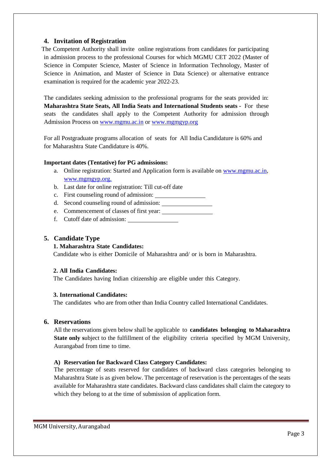# <span id="page-4-0"></span>**4. Invitation of Registration**

The Competent Authority shall invite online registrations from candidates for participating in admission process to the professional Courses for which MGMU CET 2022 (Master of Science in Computer Science, Master of Science in Information Technology, Master of Science in Animation, and Master of Science in Data Science) or alternative entrance examination is required for the academic year 2022-23.

The candidates seeking admission to the professional programs for the seats provided in: **Maharashtra State Seats, All India Seats and International Students seats -** For these seats the candidates shall apply to the Competent Authority for admission through Admission Process on [www.mgmu.ac.in](http://www.mgmu.ac.in/) or [www.mgmgyp.org](http://www.jnec.org/)

For all Postgraduate programs allocation of seats for All India Candidature is 60% and for Maharashtra State Candidature is 40%.

#### **Important dates (Tentative) for PG admissions:**

- a. Online registration: Started and Application form is available on [www.mgmu.ac.in,](http://www.mgmu.ac.in/) [www.mgmgyp.org.](http://www.mgmgyp.org./)
- b. Last date for online registration: Till cut-off date
- c. First counseling round of admission:
- d. Second counseling round of admission:
- e. Commencement of classes of first year:
- f. Cutoff date of admission:

#### <span id="page-4-1"></span>**5. Candidate Type**

#### **1. Maharashtra State Candidates:**

Candidate who is either Domicile of Maharashtra and/ or is born in Maharashtra.

#### **2. All India Candidates:**

The Candidates having Indian citizenship are eligible under this Category.

#### **3. International Candidates:**

The candidates who are from other than India Country called International Candidates.

# <span id="page-4-2"></span>**6. Reservations**

All the reservations given below shall be applicable to **candidates belonging to Maharashtra State only** subject to the fulfillment of the eligibility criteria specified by MGM University, Aurangabad from time to time.

#### **A) Reservation for Backward Class Category Candidates:**

The percentage of seats reserved for candidates of backward class categories belonging to Maharashtra State is as given below. The percentage of reservation is the percentages of the seats available for Maharashtra state candidates. Backward class candidates shall claim the category to which they belong to at the time of submission of application form.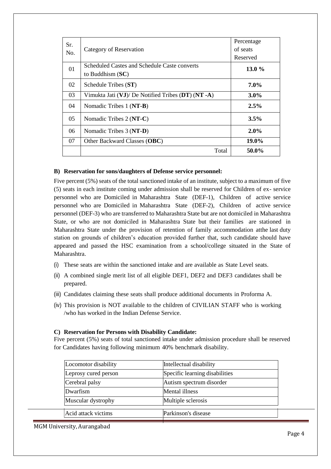| Sr. |                                                    | Percentage |
|-----|----------------------------------------------------|------------|
| No. | Category of Reservation                            | of seats   |
|     |                                                    | Reserved   |
| 01  | Scheduled Castes and Schedule Caste converts       | 13.0 $%$   |
|     | to Buddhism $(SC)$                                 |            |
| 02  | Schedule Tribes (ST)                               | $7.0\%$    |
| 03  | Vimukta Jati (VJ)/ De Notified Tribes (DT) (NT -A) | $3.0\%$    |
| 04  | Nomadic Tribes 1 (N <b>T-B</b> )                   | 2.5%       |
| 05  | Nomadic Tribes 2 (NT-C)                            | 3.5%       |
| 06  | Nomadic Tribes 3 (NT-D)                            | $2.0\%$    |
| 07  | Other Backward Classes (OBC)                       | 19.0%      |
|     | Total                                              | 50.0%      |

#### **B) Reservation for sons/daughters of Defense service personnel:**

Five percent (5%) seats of the total sanctioned intake of an institute, subject to a maximum of five (5) seats in each institute coming under admission shall be reserved for Children of ex- service personnel who are Domiciled in Maharashtra State (DEF-1), Children of active service personnel who are Domiciled in Maharashtra State (DEF-2), Children of active service personnel (DEF-3) who are transferred to Maharashtra State but are not domiciled in Maharashtra State, or who are not domiciled in Maharashtra State but their families are stationed in Maharashtra State under the provision of retention of family accommodation atthe last duty station on grounds of children's education provided further that, such candidate should have appeared and passed the HSC examination from a school/college situated in the State of Maharashtra.

- (i) These seats are within the sanctioned intake and are available as State Level seats.
- (ii) A combined single merit list of all eligible DEF1, DEF2 and DEF3 candidates shall be prepared.
- (iii) Candidates claiming these seats shall produce additional documents in Proforma A.
- (iv) This provision is NOT available to the children of CIVILIAN STAFF who is working /who has worked in the Indian Defense Service.

#### **C) Reservation for Persons with Disability Candidate:**

Five percent (5%) seats of total sanctioned intake under admission procedure shall be reserved for Candidates having following minimum 40% benchmark disability.

| Locomotor disability | Intellectual disability        |
|----------------------|--------------------------------|
| Leprosy cured person | Specific learning disabilities |
| Cerebral palsy       | Autism spectrum disorder       |
| Dwarfism             | Mental illness                 |
| Muscular dystrophy   | Multiple sclerosis             |
| Acid attack victims  | Parkinson's disease            |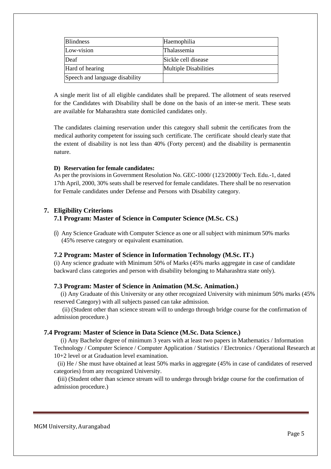| <b>Blindness</b>               | Haemophilia                  |
|--------------------------------|------------------------------|
| Low-vision                     | <b>Thalassemia</b>           |
| Deaf                           | Sickle cell disease          |
| Hard of hearing                | <b>Multiple Disabilities</b> |
| Speech and language disability |                              |

A single merit list of all eligible candidates shall be prepared. The allotment of seats reserved for the Candidates with Disability shall be done on the basis of an inter-se merit. These seats are available for Maharashtra state domiciled candidates only.

The candidates claiming reservation under this category shall submit the certificates from the medical authority competent for issuing such certificate. The certificate should clearly state that the extent of disability is not less than 40% (Forty percent) and the disability is permanentin nature.

#### **D) Reservation for female candidates:**

As per the provisions in Government Resolution No. GEC-1000/ (123/2000)/ Tech. Edu.-1, dated 17th April, 2000, 30% seats shall be reserved for female candidates. There shall be no reservation for Female candidates under Defense and Persons with Disability category.

#### <span id="page-6-1"></span><span id="page-6-0"></span>**7. Eligibility Criterions**

#### **7.1 Program: Master of Science in Computer Science (M.Sc. CS.)**

(i) Any Science Graduate with Computer Science as one or all subject with minimum 50% marks (45% reserve category or equivalent examination.

#### **7.2 Program: Master of Science in Information Technology (M.Sc. IT.)**

(i) Any science graduate with Minimum 50% of Marks (45% marks aggregate in case of candidate backward class categories and person with disability belonging to Maharashtra state only).

#### **7.3 Program: Master of Science in Animation (M.Sc. Animation.)**

 (i) Any Graduate of this University or any other recognized University with minimum 50% marks (45% reserved Category) with all subjects passed can take admission.

 (ii) (Student other than science stream will to undergo through bridge course for the confirmation of admission procedure.)

#### **7.4 Program: Master of Science in Data Science (M.Sc. Data Science.)**

 (i) Any Bachelor degree of minimum 3 years with at least two papers in Mathematics / Information Technology / Computer Science / Computer Application / Statistics / Electronics / Operational Research at 10+2 level or at Graduation level examination.

 (ii) He / She must have obtained at least 50% marks in aggregate (45% in case of candidates of reserved categories) from any recognized University.

 **(**iii) (Student other than science stream will to undergo through bridge course for the confirmation of admission procedure.)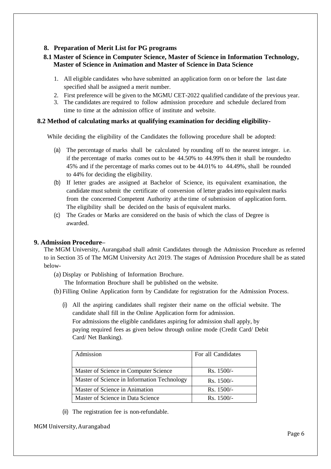# <span id="page-7-0"></span>**8. Preparation of Merit List for PG programs**

# <span id="page-7-1"></span>**8.1 Master of Science in Computer Science, Master of Science in Information Technology, Master of Science in Animation and Master of Science in Data Science**

- 1. All eligible candidates who have submitted an application form on or before the last date specified shall be assigned a merit number.
- 2. First preference will be given to the MGMU CET-2022 qualified candidate of the previous year.
- 3. The candidates are required to follow admission procedure and schedule declared from time to time at the admission office of institute and website.

# <span id="page-7-2"></span>**8.2 Method of calculating marks at qualifying examination for deciding eligibility-**

While deciding the eligibility of the Candidates the following procedure shall be adopted:

- (a) The percentage of marks shall be calculated by rounding off to the nearest integer. i.e. if the percentage of marks comes out to be 44.50% to 44.99% then it shall be roundedto 45% and if the percentage of marks comes out to be 44.01% to 44.49%, shall be rounded to 44% for deciding the eligibility.
- (b) If letter grades are assigned at Bachelor of Science, its equivalent examination, the candidate must submit the certificate of conversion of letter grades into equivalent marks from the concerned Competent Authority at the time of submission of application form. The eligibility shall be decided on the basis of equivalent marks.
- (c) The Grades or Marks are considered on the basis of which the class of Degree is awarded.

# <span id="page-7-3"></span>**9. Admission Procedure–**

The MGM University, Aurangabad shall admit Candidates through the Admission Procedure as referred to in Section 35 of The MGM University Act 2019. The stages of Admission Procedure shall be as stated below-

(a) Display or Publishing of Information Brochure.

The Information Brochure shall be published on the website.

- (b) Filling Online Application form by Candidate for registration for the Admission Process.
	- (i) All the aspiring candidates shall register their name on the official website. The candidate shall fill in the Online Application form for admission. For admissions the eligible candidates aspiring for admission shall apply, by paying required fees as given below through online mode (Credit Card/ Debit Card/ Net Banking).

| Admission                                   | For all Candidates |
|---------------------------------------------|--------------------|
| Master of Science in Computer Science       | $Rs. 1500/-$       |
| Master of Science in Information Technology | $Rs. 1500/-$       |
| Master of Science in Animation              | $Rs. 1500/-$       |
| Master of Science in Data Science           | $Rs. 1500/-$       |

(ii) The registration fee is non-refundable.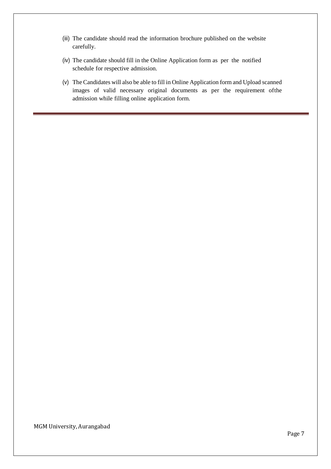- (iii) The candidate should read the information brochure published on the website carefully.
- (iv) The candidate should fill in the Online Application form as per the notified schedule for respective admission.
- (v) The Candidates will also be able to fill in Online Application form and Upload scanned images of valid necessary original documents as per the requirement ofthe admission while filling online application form.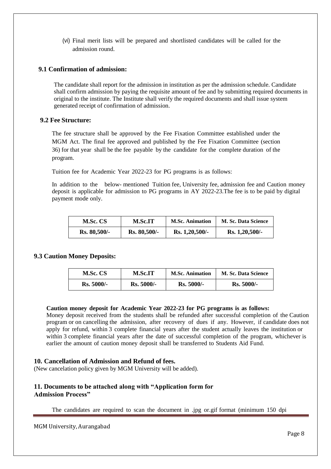(vi) Final merit lists will be prepared and shortlisted candidates will be called for the admission round.

#### <span id="page-9-0"></span>**9.1 Confirmation of admission:**

The candidate shall report for the admission in institution as per the admission schedule. Candidate shall confirm admission by paying the requisite amount of fee and by submitting required documents in original to the institute. The Institute shall verify the required documents and shall issue system generated receipt of confirmation of admission.

#### <span id="page-9-1"></span>**9.2 Fee Structure:**

The fee structure shall be approved by the Fee Fixation Committee established under the MGM Act. The final fee approved and published by the Fee Fixation Committee (section 36) for that year shall be the fee payable by the candidate for the complete duration of the program.

Tuition fee for Academic Year 2022-23 for PG programs is as follows:

In addition to the below- mentioned Tuition fee, University fee, admission fee and Caution money deposit is applicable for admission to PG programs in AY 2022-23.The fee is to be paid by digital payment mode only.

| M.Sc. CS     | <b>M.Sc.IT</b> | <b>M.Sc. Animation</b> | <b>M. Sc. Data Science</b> |
|--------------|----------------|------------------------|----------------------------|
| Rs. 80,500/- | Rs. 80,500/-   | Rs. 1,20,500/-         | Rs. 1,20,500/-             |

#### <span id="page-9-2"></span>**9.3 Caution Money Deposits:**

| M.Sc. CS     | <b>M.Sc.IT</b> | <b>M.Sc. Animation</b> | <b>M. Sc. Data Science</b> |
|--------------|----------------|------------------------|----------------------------|
| $Rs. 5000/-$ | $Rs. 5000/-$   | $Rs. 5000/-$           | $Rs. 5000/-$               |

#### **Caution money deposit for Academic Year 2022-23 for PG programs is as follows:**

Money deposit received from the students shall be refunded after successful completion of the Caution program or on cancelling the admission, after recovery of dues if any. However, if candidate does not apply for refund, within 3 complete financial years after the student actually leaves the institution or within 3 complete financial years after the date of successful completion of the program, whichever is earlier the amount of caution money deposit shall be transferred to Students Aid Fund.

#### <span id="page-9-3"></span>**10. Cancellation of Admission and Refund of fees.**

(New cancelation policy given by MGM University will be added).

# <span id="page-9-4"></span>**11. Documents to be attached along with "Application form for Admission Process"**

The candidates are required to scan the document in .jpg or.gif format (minimum 150 dpi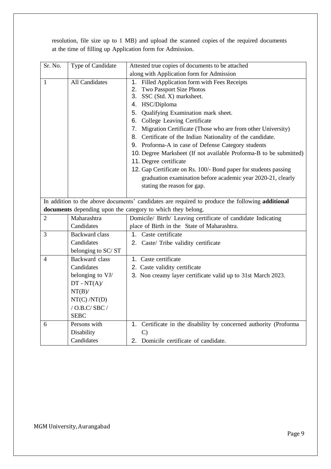| Sr. No.        | Type of Candidate     | Attested true copies of documents to be attached                                                |
|----------------|-----------------------|-------------------------------------------------------------------------------------------------|
|                |                       | along with Application form for Admission                                                       |
| 1              | All Candidates        | 1. Filled Application form with Fees Receipts                                                   |
|                |                       | 2. Two Passport Size Photos                                                                     |
|                |                       | 3. SSC (Std. X) marksheet.                                                                      |
|                |                       | 4. HSC/Diploma                                                                                  |
|                |                       | 5. Qualifying Examination mark sheet.                                                           |
|                |                       | 6. College Leaving Certificate                                                                  |
|                |                       | 7. Migration Certificate (Those who are from other University)                                  |
|                |                       | 8. Certificate of the Indian Nationality of the candidate.                                      |
|                |                       | 9. Proforma-A in case of Defense Category students                                              |
|                |                       | 10. Degree Marksheet (If not available Proforma-B to be submitted)                              |
|                |                       | 11. Degree certificate                                                                          |
|                |                       | 12. Gap Certificate on Rs. 100/- Bond paper for students passing                                |
|                |                       | graduation examination before academic year 2020-21, clearly                                    |
|                |                       | stating the reason for gap.                                                                     |
|                |                       |                                                                                                 |
|                |                       | In addition to the above documents' candidates are required to produce the following additional |
|                |                       | documents depending upon the category to which they belong.                                     |
| $\overline{2}$ | Maharashtra           | Domicile/ Birth/ Leaving certificate of candidate Indicating                                    |
|                | Candidates            | place of Birth in the State of Maharashtra.                                                     |
| 3              | <b>Backward class</b> | 1. Caste certificate                                                                            |
|                | Candidates            | 2. Caste/ Tribe validity certificate                                                            |
|                | belonging to SC/ST    |                                                                                                 |
| 4              | Backward class        | 1. Caste certificate                                                                            |
|                | Candidates            | 2. Caste validity certificate                                                                   |
|                | belonging to VJ/      | 3. Non creamy layer certificate valid up to 31st March 2023.                                    |
|                | $DT - NT(A)$ /        |                                                                                                 |
|                | $NT(B)$ /             |                                                                                                 |
|                | NT(C)/NT(D)           |                                                                                                 |
|                | $/$ O.B.C/SBC $/$     |                                                                                                 |
|                | <b>SEBC</b>           |                                                                                                 |
| 6              | Persons with          | Certificate in the disability by concerned authority (Proforma<br>1.                            |
|                | Disability            | $\mathcal{C}$                                                                                   |
|                | Candidates            | 2. Domicile certificate of candidate.                                                           |

resolution, file size up to 1 MB) and upload the scanned copies of the required documents at the time of filling up Application form for Admission.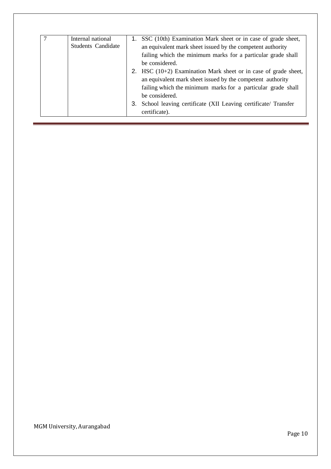| Internal national         | SSC (10th) Examination Mark sheet or in case of grade sheet,        |
|---------------------------|---------------------------------------------------------------------|
| <b>Students Candidate</b> | an equivalent mark sheet issued by the competent authority          |
|                           | failing which the minimum marks for a particular grade shall        |
|                           | be considered.                                                      |
|                           | 2. HSC $(10+2)$ Examination Mark sheet or in case of grade sheet,   |
|                           | an equivalent mark sheet issued by the competent authority          |
|                           | failing which the minimum marks for a particular grade shall        |
|                           | be considered.                                                      |
|                           | School leaving certificate (XII Leaving certificate/ Transfer<br>З. |
|                           | certificate).                                                       |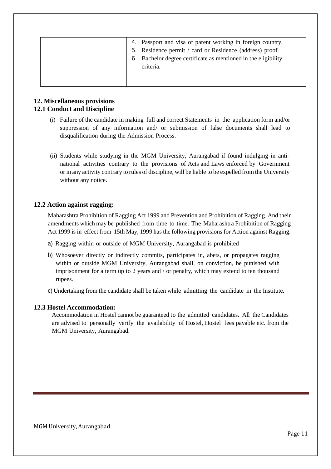| 4. Passport and visa of parent working in foreign country.<br>5. Residence permit / card or Residence (address) proof.<br>6. Bachelor degree certificate as mentioned in the eligibility<br>criteria. |
|-------------------------------------------------------------------------------------------------------------------------------------------------------------------------------------------------------|
|-------------------------------------------------------------------------------------------------------------------------------------------------------------------------------------------------------|

#### <span id="page-12-1"></span><span id="page-12-0"></span>**12. Miscellaneous provisions 12.1 Conduct and Discipline**

- (i) Failure of the candidate in making full and correct Statements in the application form and/or suppression of any information and/ or submission of false documents shall lead to disqualification during the Admission Process.
- (ii) Students while studying in the MGM University, Aurangabad if found indulging in antinational activities contrary to the provisions of Acts and Laws enforced by Government or in any activity contrary to rules of discipline, will be liable to be expelled from the University without any notice.

#### <span id="page-12-2"></span>**12.2 Action against ragging:**

Maharashtra Prohibition of Ragging Act 1999 and Prevention and Prohibition of Ragging. And their amendments which may be published from time to time. The Maharashtra Prohibition of Ragging Act 1999 is in effect from 15th May, 1999 has the following provisions for Action against Ragging.

- a) Ragging within or outside of MGM University, Aurangabad is prohibited
- b) Whosoever directly or indirectly commits, participates in, abets, or propagates ragging within or outside MGM University, Aurangabad shall, on conviction, be punished with imprisonment for a term up to 2 years and / or penalty, which may extend to ten thousand rupees.

c) Undertaking from the candidate shall be taken while admitting the candidate in the Institute.

#### <span id="page-12-3"></span>**12.3 Hostel Accommodation:**

Accommodation in Hostel cannot be guaranteed to the admitted candidates. All the Candidates are advised to personally verify the availability of Hostel, Hostel fees payable etc. from the MGM University, Aurangabad.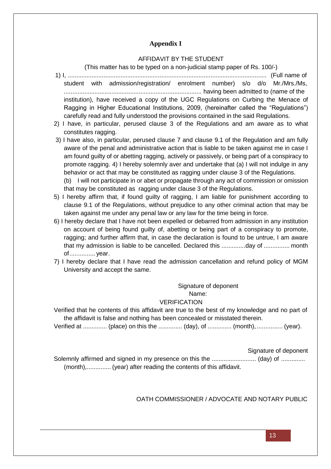# **Appendix I**

#### AFFIDAVIT BY THE STUDENT

(This matter has to be typed on a non-judicial stamp paper of Rs. 100/-)

- <span id="page-13-0"></span>1) I, ..................................................................................................................... (Full name of student with admission/registration/ enrolment number) s/o d/o Mr./Mrs./Ms, ................................................................................. having been admitted to (name of the institution), have received a copy of the UGC Regulations on Curbing the Menace of Ragging in Higher Educational Institutions, 2009, (hereinafter called the "Regulations") carefully read and fully understood the provisions contained in the said Regulations.
- 2) I have, in particular, perused clause 3 of the Regulations and am aware as to what constitutes ragging.
- 3) I have also, in particular, perused clause 7 and clause 9.1 of the Regulation and am fully aware of the penal and administrative action that is liable to be taken against me in case I am found guilty of or abetting ragging, actively or passively, or being part of a conspiracy to promote ragging. 4) I hereby solemnly aver and undertake that (a) I will not indulge in any behavior or act that may be constituted as ragging under clause 3 of the Regulations.
	- (b) I will not participate in or abet or propagate through any act of commission or omission that may be constituted as ragging under clause 3 of the Regulations.
- 5) I hereby affirm that, if found guilty of ragging, I am liable for punishment according to clause 9.1 of the Regulations, without prejudice to any other criminal action that may be taken against me under any penal law or any law for the time being in force.
- 6) I hereby declare that I have not been expelled or debarred from admission in any institution on account of being found guilty of, abetting or being part of a conspiracy to promote, ragging; and further affirm that, in case the declaration is found to be untrue, I am aware that my admission is liable to be cancelled. Declared this ..............day of ............... month of............... year.
- 7) I hereby declare that I have read the admission cancellation and refund policy of MGM University and accept the same.

Signature of deponent Name:

#### VERIFICATION

Verified that he contents of this affidavit are true to the best of my knowledge and no part of the affidavit is false and nothing has been concealed or misstated therein.

Verified at .............. (place) on this the .............. (day), of .............. (month),............... (year).

Signature of deponent

Solemnly affirmed and signed in my presence on this the .......................... (day) of .............. (month),.............. (year) after reading the contents of this affidavit.

#### OATH COMMISSIONER / ADVOCATE AND NOTARY PUBLIC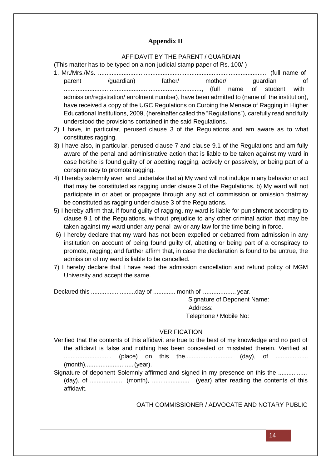# **Appendix II**

### AFFIDAVIT BY THE PARENT / GUARDIAN

<span id="page-14-0"></span>(This matter has to be typed on a non-judicial stamp paper of Rs. 100/-)

- 1. Mr./Mrs./Ms. .................................................................................................... (full name of parent /guardian) father/ mother/ guardian of ................................................................................., (full name of student with admission/registration/ enrolment number), have been admitted to (name of the institution), have received a copy of the UGC Regulations on Curbing the Menace of Ragging in Higher Educational Institutions, 2009, (hereinafter called the "Regulations"), carefully read and fully understood the provisions contained in the said Regulations.
- 2) I have, in particular, perused clause 3 of the Regulations and am aware as to what constitutes ragging.
- 3) I have also, in particular, perused clause 7 and clause 9.1 of the Regulations and am fully aware of the penal and administrative action that is liable to be taken against my ward in case he/she is found guilty of or abetting ragging, actively or passively, or being part of a conspire racy to promote ragging.
- 4) I hereby solemnly aver and undertake that a) My ward will not indulge in any behavior or act that may be constituted as ragging under clause 3 of the Regulations. b) My ward will not participate in or abet or propagate through any act of commission or omission thatmay be constituted as ragging under clause 3 of the Regulations.
- 5) I hereby affirm that, if found guilty of ragging, my ward is liable for punishment according to clause 9.1 of the Regulations, without prejudice to any other criminal action that may be taken against my ward under any penal law or any law for the time being in force.
- 6) I hereby declare that my ward has not been expelled or debarred from admission in any institution on account of being found guilty of, abetting or being part of a conspiracy to promote, ragging; and further affirm that, in case the declaration is found to be untrue, the admission of my ward is liable to be cancelled.
- 7) I hereby declare that I have read the admission cancellation and refund policy of MGM University and accept the same.

Declared this ..........................day of ............. month of.................... year.

Signature of Deponent Name: Address: Telephone / Mobile No:

# VERIFICATION

Verified that the contents of this affidavit are true to the best of my knowledge and no part of the affidavit is false and nothing has been concealed or misstated therein. Verified at ............................ (place) on this the............................ (day), of ................... (month),...........................(year).

Signature of deponent Solemnly affirmed and signed in my presence on this the ................. (day), of .................... (month), ...................... (year) after reading the contents of this affidavit.

OATH COMMISSIONER / ADVOCATE AND NOTARY PUBLIC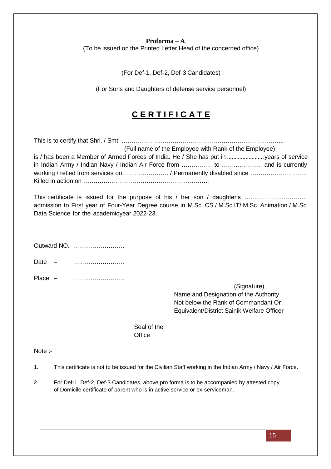#### **Proforma – A**

<span id="page-15-0"></span>(To be issued on the Printed Letter Head of the concerned office)

(For Def-1, Def-2, Def-3 Candidates)

(For Sons and Daughters of defense service personnel)

# **C E R T I F I C A T E**

This is to certify that Shri. / Smt. …………………………………………………………………….. (Full name of the Employee with Rank of the Employee) is / has been a Member of Armed Forces of India. He / She has put in ........................years of service in Indian Army / Indian Navy / Indian Air Force from …………… to …….…………. and is currently working / retied from services on …………………. / Permanently disabled since ………………………. Killed in action on ……………………………………………………..

This certificate is issued for the purpose of his / her son / daughter's …………………………… admission to First year of Four-Year Degree course in M.Sc. CS / M.Sc.IT/ M.Sc. Animation / M.Sc. Data Science for the academicyear 2022-23.

| OULWAIG NO. |                                                                                                                                           |
|-------------|-------------------------------------------------------------------------------------------------------------------------------------------|
| Date        |                                                                                                                                           |
| Place $-$   | (Signature)<br>Name and Designation of the Authority<br>Not below the Rank of Commandant Or<br>Equivalent/District Sainik Welfare Officer |

Seal of the **Office** 

Note :-

 $\bigcap_{x \in \mathbb{N}} \mathbb{Z}$  No.

1. This certificate is not to be issued for the Civilian Staff working in the Indian Army / Navy / Air Force.

2. For Def-1, Def-2, Def-3 Candidates, above pro forma is to be accompanied by attested copy of Domicile certificate of parent who is in active service or ex-serviceman.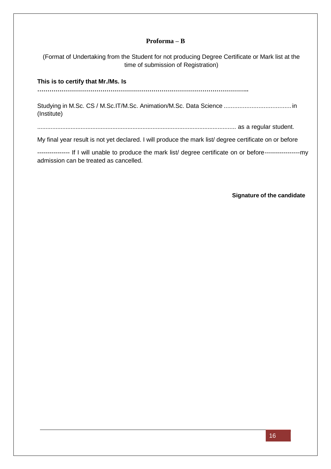## **Proforma – B**

<span id="page-16-0"></span>(Format of Undertaking from the Student for not producing Degree Certificate or Mark list at the time of submission of Registration)

**This is to certify that Mr./Ms. Is**

**…………………………………………………………………………………………..**

Studying in M.Sc. CS / M.Sc.IT/M.Sc. Animation/M.Sc. Data Science .......................................in (Institute)

....................................................................................................................... as a regular student.

My final year result is not yet declared. I will produce the mark list/ degree certificate on or before

---------------- If I will unable to produce the mark list/ degree certificate on or before-----------------my admission can be treated as cancelled.

**Signature of the candidate**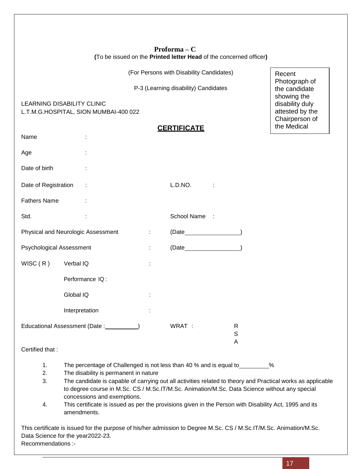| $Proforma - C$                                                     |  |  |  |  |  |
|--------------------------------------------------------------------|--|--|--|--|--|
| (To be issued on the Printed letter Head of the concerned officer) |  |  |  |  |  |

(For Persons with Disability Candidates)

P-3 (Learning disability) Candidates

<span id="page-17-0"></span>LEARNING DISABILITY CLINIC L.T.M.G.HOSPITAL, SION MUMBAI-400 022

# **CERTIFICATE**

|                                            | <b>CERTIFICATE</b>                                                                                                      |   |               |                                  | the Medical |
|--------------------------------------------|-------------------------------------------------------------------------------------------------------------------------|---|---------------|----------------------------------|-------------|
| Name                                       |                                                                                                                         |   |               |                                  |             |
| Age                                        |                                                                                                                         |   |               |                                  |             |
| Date of birth                              |                                                                                                                         |   |               |                                  |             |
| Date of Registration                       |                                                                                                                         |   | L.D.NO.       |                                  |             |
| <b>Fathers Name</b>                        |                                                                                                                         |   |               |                                  |             |
| Std.                                       |                                                                                                                         |   | School Name:  |                                  |             |
| Physical and Neurologic Assessment         |                                                                                                                         | ÷ | $(Date$ (Date |                                  |             |
| Psychological Assessment                   |                                                                                                                         | ÷ | $(Date$ (Date |                                  |             |
| WISC(R)                                    | Verbal IQ                                                                                                               | t |               |                                  |             |
|                                            | Performance IQ:                                                                                                         |   |               |                                  |             |
|                                            | Global IQ                                                                                                               |   |               |                                  |             |
|                                            | Interpretation                                                                                                          |   |               |                                  |             |
| Educational Assessment (Date : __________) |                                                                                                                         |   | WRAT :        | $\mathsf{R}$<br>$\mathsf S$<br>A |             |
| Certified that:                            |                                                                                                                         |   |               |                                  |             |
| 1.<br><sup>o</sup>                         | The percentage of Challenged is not less than 40 % and is equal to _________ %<br>The disability is nermanant in neture |   |               |                                  |             |

- 2. The disability is permanent in nature
- 3. The candidate is capable of carrying out all activities related to theory and Practical works as applicable to degree course in M.Sc. CS / M.Sc.IT/M.Sc. Animation/M.Sc. Data Science without any special concessions and exemptions.
- 4. This certificate is issued as per the provisions given in the Person with Disability Act, 1995 and its amendments.

This certificate is issued for the purpose of his/her admission to Degree M.Sc. CS / M.Sc.IT/M.Sc. Animation/M.Sc. Data Science for the year2022-23. Recommendations :-

Recent

Photograph of the candidate showing the disability duly attested by the Chairperson of